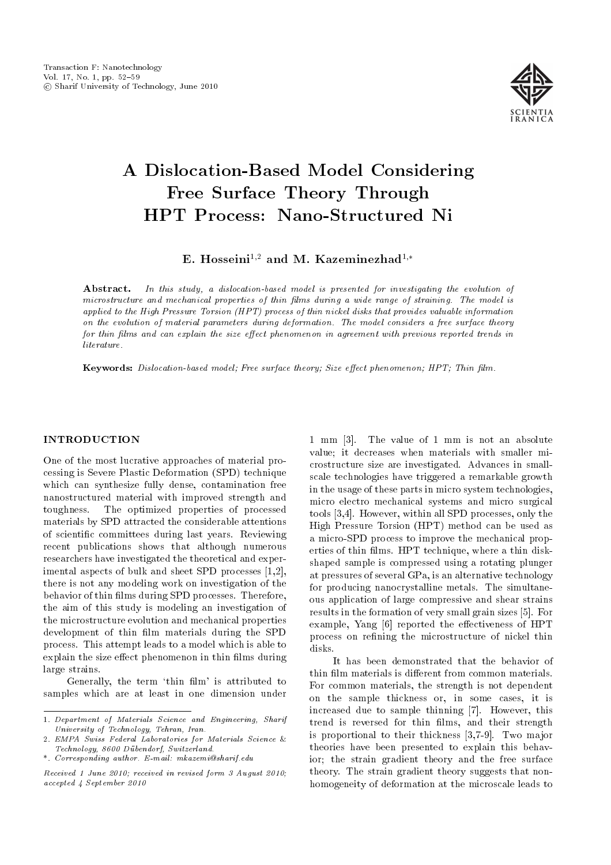

# A Dislocation-Based Model Considering Free Surface Theory Through HPT Process: Nano-Structured Ni

E. Hosseini<sup>1,2</sup> and M. Kazeminezhad<sup>1,\*</sup>

Abstract. In this study, a dislocation-based model is presented for investigating the evolution of microstructure and mechanical properties of thin films during a wide range of straining. The model is applied to the High Pressure Torsion (HPT) process of thin nickel disks that provides valuable information on the evolution of material parameters during deformation. The model considers a free surface theory for thin films and can explain the size effect phenomenon in agreement with previous reported trends in literature.

Keywords: Dislocation-based model; Free surface theory; Size effect phenomenon; HPT; Thin film.

## INTRODUCTION

One of the most lucrative approaches of material processing is Severe Plastic Deformation (SPD) technique which can synthesize fully dense, contamination free nanostructured material with improved strength and toughness. The optimized properties of processed materials by SPD attracted the considerable attentions of scientic committees during last years. Reviewing recent publications shows that although numerous researchers have investigated the theoretical and experimental aspects of bulk and sheet SPD processes [1,2], there is not any modeling work on investigation of the behavior of thin films during SPD processes. Therefore, the aim of this study is modeling an investigation of the microstructure evolution and mechanical properties development of thin film materials during the SPD process. This attempt leads to a model which is able to explain the size effect phenomenon in thin films during large strains.

Generally, the term 'thin film' is attributed to samples which are at least in one dimension under

1 mm [3]. The value of 1 mm is not an absolute value; it decreases when materials with smaller microstructure size are investigated. Advances in smallscale technologies have triggered a remarkable growth in the usage of these parts in micro system technologies, micro electro mechanical systems and micro surgical tools [3,4]. However, within all SPD processes, only the High Pressure Torsion (HPT) method can be used as a micro-SPD process to improve the mechanical properties of thin films. HPT technique, where a thin diskshaped sample is compressed using a rotating plunger at pressures of several GPa, is an alternative technology for producing nanocrystalline metals. The simultaneous application of large compressive and shear strains results in the formation of very small grain sizes [5]. For example, Yang [6] reported the effectiveness of HPT process on refining the microstructure of nickel thin disks.

It has been demonstrated that the behavior of thin film materials is different from common materials. For common materials, the strength is not dependent on the sample thickness or, in some cases, it is increased due to sample thinning [7]. However, this trend is reversed for thin films, and their strength is proportional to their thickness [3,7-9]. Two major theories have been presented to explain this behavior; the strain gradient theory and the free surface theory. The strain gradient theory suggests that nonhomogeneity of deformation at the microscale leads to

<sup>1.</sup> Department of Materials Science and Engineering, Sharif University of Technology, Tehran, Iran.

<sup>2.</sup> EMPA Swiss Federal Laboratories for Materials Science & Technology, 8600 Dubendorf, Switzerland.

<sup>\*.</sup> Corresponding author. E-mail: mkazemi@sharif.edu

Received 1 June 2010; received in revised form 3 August 2010; accepted 4 September 2010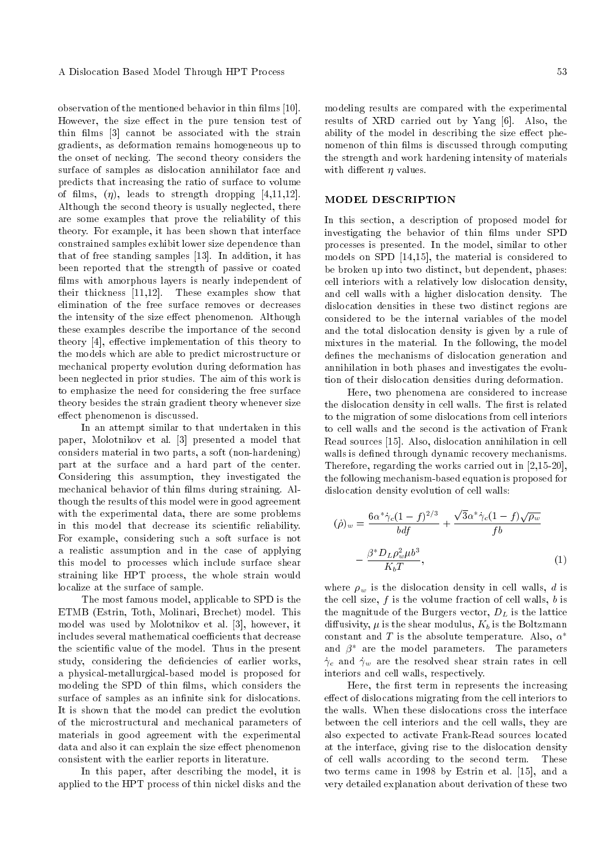observation of the mentioned behavior in thin films [10]. However, the size effect in the pure tension test of thin films [3] cannot be associated with the strain gradients, as deformation remains homogeneous up to the onset of necking. The second theory considers the surface of samples as dislocation annihilator face and predicts that increasing the ratio of surface to volume of films,  $(\eta)$ , leads to strength dropping [4,11,12]. Although the second theory is usually neglected, there are some examples that prove the reliability of this theory. For example, it has been shown that interface constrained samples exhibit lower size dependence than that of free standing samples [13]. In addition, it has been reported that the strength of passive or coated films with amorphous layers is nearly independent of their thickness [11,12]. These examples show that elimination of the free surface removes or decreases the intensity of the size effect phenomenon. Although these examples describe the importance of the second theory  $[4]$ , effective implementation of this theory to the models which are able to predict microstructure or mechanical property evolution during deformation has been neglected in prior studies. The aim of this work is to emphasize the need for considering the free surface theory besides the strain gradient theory whenever size effect phenomenon is discussed.

In an attempt similar to that undertaken in this paper, Molotnikov et al. [3] presented a model that considers material in two parts, a soft (non-hardening) part at the surface and a hard part of the center. Considering this assumption, they investigated the mechanical behavior of thin films during straining. Although the results of this model were in good agreement with the experimental data, there are some problems in this model that decrease its scientific reliability. For example, considering such a soft surface is not a realistic assumption and in the case of applying this model to processes which include surface shear straining like HPT process, the whole strain would localize at the surface of sample.

The most famous model, applicable to SPD is the ETMB (Estrin, Toth, Molinari, Brechet) model. This model was used by Molotnikov et al. [3], however, it includes several mathematical coefficients that decrease the scientic value of the model. Thus in the present study, considering the deficiencies of earlier works, a physical-metallurgical-based model is proposed for modeling the SPD of thin films, which considers the surface of samples as an infinite sink for dislocations. It is shown that the model can predict the evolution of the microstructural and mechanical parameters of materials in good agreement with the experimental data and also it can explain the size effect phenomenon consistent with the earlier reports in literature.

In this paper, after describing the model, it is applied to the HPT process of thin nickel disks and the modeling results are compared with the experimental results of XRD carried out by Yang [6]. Also, the ability of the model in describing the size effect phenomenon of thin films is discussed through computing the strength and work hardening intensity of materials with different  $\eta$  values.

## MODEL DESCRIPTION

In this section, a description of proposed model for investigating the behavior of thin films under SPD processes is presented. In the model, similar to other models on SPD [14,15], the material is considered to be broken up into two distinct, but dependent, phases: cell interiors with a relatively low dislocation density, and cell walls with a higher dislocation density. The dislocation densities in these two distinct regions are considered to be the internal variables of the model and the total dislocation density is given by a rule of mixtures in the material. In the following, the model defines the mechanisms of dislocation generation and annihilation in both phases and investigates the evolution of their dislocation densities during deformation.

Here, two phenomena are considered to increase the dislocation density in cell walls. The first is related to the migration of some dislocations from cell interiors to cell walls and the second is the activation of Frank Read sources [15]. Also, dislocation annihilation in cell walls is defined through dynamic recovery mechanisms. Therefore, regarding the works carried out in [2,15-20], the following mechanism-based equation is proposed for dislocation density evolution of cell walls:

$$
(\dot{\rho})_w = \frac{6\alpha^* \dot{\gamma}_c (1-f)^{2/3}}{bdf} + \frac{\sqrt{3} \alpha^* \dot{\gamma}_c (1-f) \sqrt{\rho_w}}{fb}
$$

$$
-\frac{\beta^* D_L \rho_w^2 \mu b^3}{K_b T}, \tag{1}
$$

where  $\rho_w$  is the dislocation density in cell walls, d is the cell size,  $f$  is the volume fraction of cell walls,  $b$  is the magnitude of the Burgers vector,  $D<sub>L</sub>$  is the lattice diffusivity,  $\mu$  is the shear modulus,  $K_b$  is the Boltzmann constant and  $T$  is the absolute temperature. Also,  $\alpha^*$ and  $\beta^*$  are the model parameters. The parameters  $\dot{\gamma}_c$  and  $\dot{\gamma}_w$  are the resolved shear strain rates in cell interiors and cell walls, respectively.

Here, the first term in represents the increasing effect of dislocations migrating from the cell interiors to the walls. When these dislocations cross the interface between the cell interiors and the cell walls, they are also expected to activate Frank-Read sources located at the interface, giving rise to the dislocation density of cell walls according to the second term. These two terms came in 1998 by Estrin et al. [15], and a very detailed explanation about derivation of these two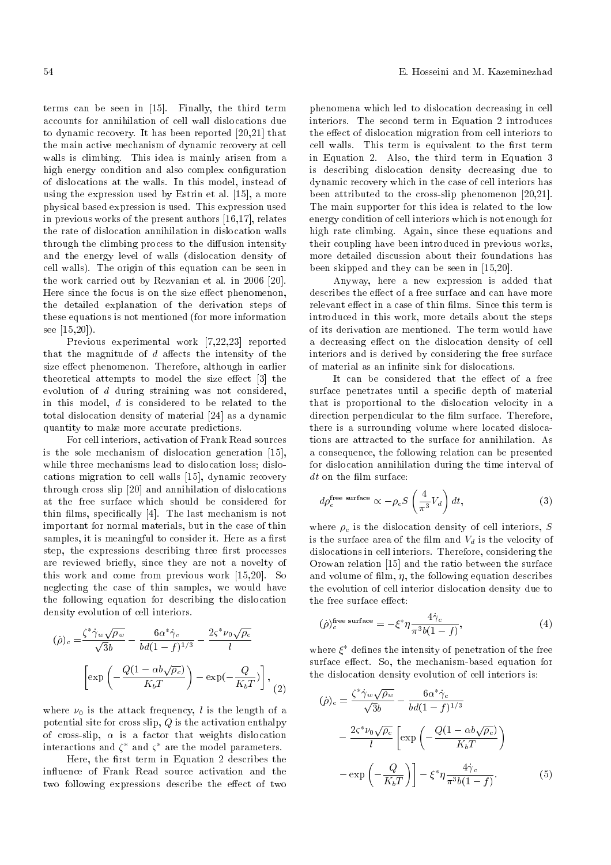terms can be seen in [15]. Finally, the third term accounts for annihilation of cell wall dislocations due to dynamic recovery. It has been reported [20,21] that the main active mechanism of dynamic recovery at cell walls is climbing. This idea is mainly arisen from a high energy condition and also complex configuration of dislocations at the walls. In this model, instead of using the expression used by Estrin et al. [15], a more physical based expression is used. This expression used in previous works of the present authors [16,17], relates the rate of dislocation annihilation in dislocation walls through the climbing process to the diffusion intensity and the energy level of walls (dislocation density of cell walls). The origin of this equation can be seen in the work carried out by Rezvanian et al. in 2006 [20]. Here since the focus is on the size effect phenomenon, the detailed explanation of the derivation steps of these equations is not mentioned (for more information see [15,20]).

Previous experimental work [7,22,23] reported that the magnitude of  $d$  affects the intensity of the size effect phenomenon. Therefore, although in earlier theoretical attempts to model the size effect [3] the evolution of d during straining was not considered, in this model, d is considered to be related to the total dislocation density of material [24] as a dynamic quantity to make more accurate predictions.

For cell interiors, activation of Frank Read sources is the sole mechanism of dislocation generation [15], while three mechanisms lead to dislocation loss; dislocations migration to cell walls [15], dynamic recovery through cross slip [20] and annihilation of dislocations at the free surface which should be considered for thin films, specifically [4]. The last mechanism is not important for normal materials, but in the case of thin samples, it is meaningful to consider it. Here as a first step, the expressions describing three first processes are reviewed briefly, since they are not a novelty of this work and come from previous work [15,20]. So neglecting the case of thin samples, we would have the following equation for describing the dislocation density evolution of cell interiors.

$$
(\dot{\rho})_c = \frac{\zeta^* \dot{\gamma}_w \sqrt{\rho_w}}{\sqrt{3}b} - \frac{6\alpha^* \dot{\gamma}_c}{bd(1-f)^{1/3}} - \frac{2\zeta^* \nu_0 \sqrt{\rho_c}}{l}
$$

$$
\left[ \exp\left(-\frac{Q(1-\alpha b\sqrt{\rho_c})}{K_b T}\right) - \exp(-\frac{Q}{K_b T}) \right],
$$
(2)

where  $\nu_0$  is the attack frequency, l is the length of a potential site for cross slip,  $Q$  is the activation enthalpy of cross-slip,  $\alpha$  is a factor that weights dislocation interactions and  $\zeta^*$  and  $\zeta^*$  are the model parameters.

Here, the first term in Equation 2 describes the influence of Frank Read source activation and the two following expressions describe the effect of two phenomena which led to dislocation decreasing in cell interiors. The second term in Equation 2 introduces the effect of dislocation migration from cell interiors to cell walls. This term is equivalent to the first term in Equation 2. Also, the third term in Equation 3 is describing dislocation density decreasing due to dynamic recovery which in the case of cell interiors has been attributed to the cross-slip phenomenon [20,21]. The main supporter for this idea is related to the low energy condition of cell interiors which is not enough for high rate climbing. Again, since these equations and their coupling have been introduced in previous works, more detailed discussion about their foundations has been skipped and they can be seen in [15,20].

Anyway, here a new expression is added that describes the effect of a free surface and can have more relevant effect in a case of thin films. Since this term is introduced in this work, more details about the steps of its derivation are mentioned. The term would have a decreasing effect on the dislocation density of cell interiors and is derived by considering the free surface of material as an infinite sink for dislocations.

It can be considered that the effect of a free surface penetrates until a specific depth of material that is proportional to the dislocation velocity in a direction perpendicular to the film surface. Therefore, there is a surrounding volume where located dislocations are attracted to the surface for annihilation. As a consequence, the following relation can be presented for dislocation annihilation during the time interval of  $dt$  on the film surface:

$$
d\rho_c^{\text{free surface}} \propto -\rho_c S \left(\frac{4}{\pi^3} V_d\right) dt, \tag{3}
$$

where  $\rho_c$  is the dislocation density of cell interiors, S is the surface area of the film and  $V_d$  is the velocity of dislocations in cell interiors. Therefore, considering the Orowan relation [15] and the ratio between the surface and volume of film,  $\eta$ , the following equation describes the evolution of cell interior dislocation density due to the free surface effect:

$$
(\dot{\rho})_c^{\text{free surface}} = -\xi^* \eta \frac{4\dot{\gamma}_c}{\pi^3 b(1-f)},\tag{4}
$$

where  $\xi^*$  defines the intensity of penetration of the free surface effect. So, the mechanism-based equation for the dislocation density evolution of cell interiors is:

$$
(\dot{\rho})_c = \frac{\zeta^* \dot{\gamma}_w \sqrt{\rho_w}}{\sqrt{3}b} - \frac{6\alpha^* \dot{\gamma}_c}{bd(1-f)^{1/3}} -\frac{2\varsigma^* \nu_0 \sqrt{\rho_c}}{l} \left[ \exp\left(-\frac{Q(1-\alpha b\sqrt{\rho_c})}{K_b T}\right) \right] -\exp\left(-\frac{Q}{K_b T}\right) - \xi^* \eta \frac{4 \dot{\gamma}_c}{\pi^3 b(1-f)}.
$$
 (5)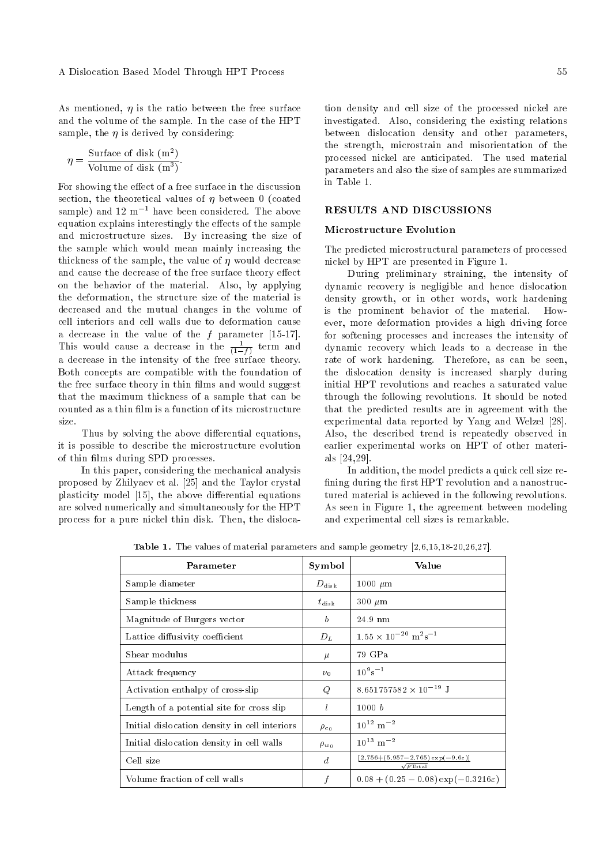As mentioned,  $\eta$  is the ratio between the free surface and the volume of the sample. In the case of the HPT sample, the  $\eta$  is derived by considering:

$$
\eta = \frac{\text{Surface of disk } (m^2)}{\text{Volume of disk } (m^3)}.
$$

For showing the effect of a free surface in the discussion section, the theoretical values of  $\eta$  between 0 (coated sample) and  $12 \text{ m}^{-1}$  have been considered. The above equation explains interestingly the effects of the sample and microstructure sizes. By increasing the size of the sample which would mean mainly increasing the thickness of the sample, the value of  $\eta$  would decrease and cause the decrease of the free surface theory effect on the behavior of the material. Also, by applying the deformation, the structure size of the material is decreased and the mutual changes in the volume of cell interiors and cell walls due to deformation cause a decrease in the value of the  $f$  parameter [15-17]. This would cause a decrease in the  $\frac{1}{(1-f)}$  term and a decrease in the intensity of the free surface theory. Both concepts are compatible with the foundation of the free surface theory in thin films and would suggest that the maximum thickness of a sample that can be counted as a thin film is a function of its microstructure size.

Thus by solving the above differential equations, it is possible to describe the microstructure evolution of thin films during SPD processes.

In this paper, considering the mechanical analysis proposed by Zhilyaev et al. [25] and the Taylor crystal plasticity model [15], the above differential equations are solved numerically and simultaneously for the HPT process for a pure nickel thin disk. Then, the dislocation density and cell size of the processed nickel are investigated. Also, considering the existing relations between dislocation density and other parameters, the strength, microstrain and misorientation of the processed nickel are anticipated. The used material parameters and also the size of samples are summarized in Table 1.

#### RESULTS AND DISCUSSIONS

## Microstructure Evolution

The predicted microstructural parameters of processed nickel by HPT are presented in Figure 1.

During preliminary straining, the intensity of dynamic recovery is negligible and hence dislocation density growth, or in other words, work hardening is the prominent behavior of the material. However, more deformation provides a high driving force for softening processes and increases the intensity of dynamic recovery which leads to a decrease in the rate of work hardening. Therefore, as can be seen, the dislocation density is increased sharply during initial HPT revolutions and reaches a saturated value through the following revolutions. It should be noted that the predicted results are in agreement with the experimental data reported by Yang and Welzel [28]. Also, the described trend is repeatedly observed in earlier experimental works on HPT of other materials [24,29].

In addition, the model predicts a quick cell size re fining during the first HPT revolution and a nanostructured material is achieved in the following revolutions. As seen in Figure 1, the agreement between modeling and experimental cell sizes is remarkable.

| Parameter                                     | Symbol           | Value                                                                                |
|-----------------------------------------------|------------------|--------------------------------------------------------------------------------------|
| Sample diameter                               | $D_{\rm disk}$   | 1000 $\mu$ m                                                                         |
| Sample thickness                              | $t_{\rm disk}$   | $300~\mu m$                                                                          |
| Magnitude of Burgers vector                   | b                | 24.9 nm                                                                              |
| Lattice diffusivity coefficient               | $D_L$            | $1.55 \times 10^{-20}$ m <sup>2</sup> s <sup>-1</sup>                                |
| Shear modulus                                 | $\mu$            | 79 GPa                                                                               |
| Attack frequency                              | $\nu_0$          | $10^9$ s <sup>-1</sup>                                                               |
| Activation enthalpy of cross-slip             | Q                | $8.651757582 \times 10^{-19}$ J                                                      |
| Length of a potential site for cross slip     | l                | 1000 b                                                                               |
| Initial dislocation density in cell interiors | $\rho_{c_0}$     | $10^{12}$ m <sup>-2</sup>                                                            |
| Initial dislocation density in cell walls     | $\rho_{w_0}$     | $10^{13}$ m <sup>-2</sup>                                                            |
| Cell size                                     | $\boldsymbol{d}$ | $[2.756 + (5.957 - 2.765) \exp(-9.6 \varepsilon)]$<br>$\sqrt{\rho_{\mathrm{Total}}}$ |
| Volume fraction of cell walls                 |                  | $0.08 + (0.25 - 0.08) \exp(-0.3216\varepsilon)$                                      |

Table 1. The values of material parameters and sample geometry [2,6,15,18-20,26,27].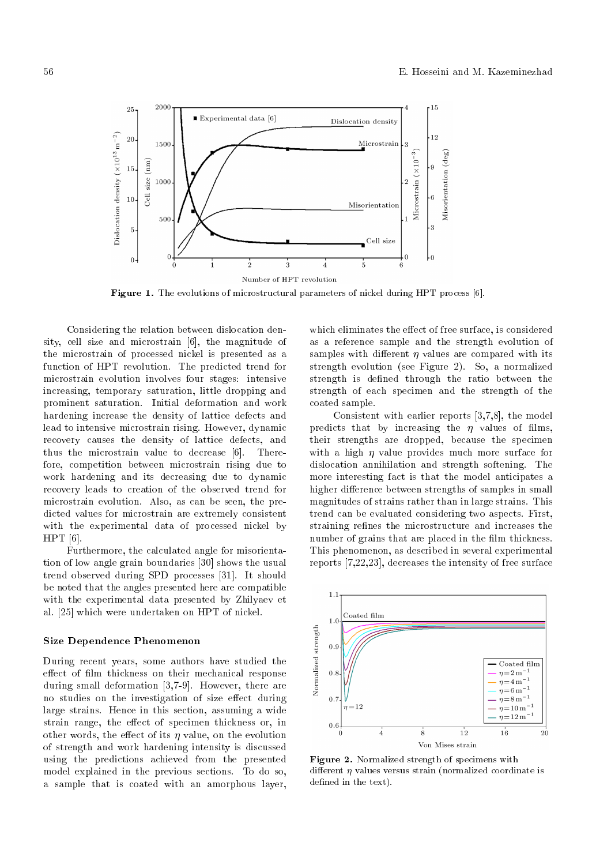

Figure 1. The evolutions of microstructural parameters of nickel during HPT process [6].

Considering the relation between dislocation density, cell size and microstrain [6], the magnitude of the microstrain of processed nickel is presented as a function of HPT revolution. The predicted trend for microstrain evolution involves four stages: intensive increasing, temporary saturation, little dropping and prominent saturation. Initial deformation and work hardening increase the density of lattice defects and lead to intensive microstrain rising. However, dynamic recovery causes the density of lattice defects, and thus the microstrain value to decrease [6]. Therefore, competition between microstrain rising due to work hardening and its decreasing due to dynamic recovery leads to creation of the observed trend for microstrain evolution. Also, as can be seen, the predicted values for microstrain are extremely consistent with the experimental data of processed nickel by HPT [6].

Furthermore, the calculated angle for misorientation of low angle grain boundaries [30] shows the usual trend observed during SPD processes [31]. It should be noted that the angles presented here are compatible with the experimental data presented by Zhilyaev et al. [25] which were undertaken on HPT of nickel.

#### Size Dependence Phenomenon

During recent years, some authors have studied the effect of film thickness on their mechanical response during small deformation [3,7-9]. However, there are no studies on the investigation of size effect during large strains. Hence in this section, assuming a wide strain range, the effect of specimen thickness or, in other words, the effect of its  $\eta$  value, on the evolution of strength and work hardening intensity is discussed using the predictions achieved from the presented model explained in the previous sections. To do so, a sample that is coated with an amorphous layer, which eliminates the effect of free surface, is considered as a reference sample and the strength evolution of samples with different  $\eta$  values are compared with its strength evolution (see Figure 2). So, a normalized strength is defined through the ratio between the strength of each specimen and the strength of the coated sample.

Consistent with earlier reports [3,7,8], the model predicts that by increasing the  $\eta$  values of films, their strengths are dropped, because the specimen with a high  $\eta$  value provides much more surface for dislocation annihilation and strength softening. The more interesting fact is that the model anticipates a higher difference between strengths of samples in small magnitudes of strains rather than in large strains. This trend can be evaluated considering two aspects. First, straining refines the microstructure and increases the number of grains that are placed in the film thickness. This phenomenon, as described in several experimental reports [7,22,23], decreases the intensity of free surface



Figure 2. Normalized strength of specimens with different  $\eta$  values versus strain (normalized coordinate is defined in the text).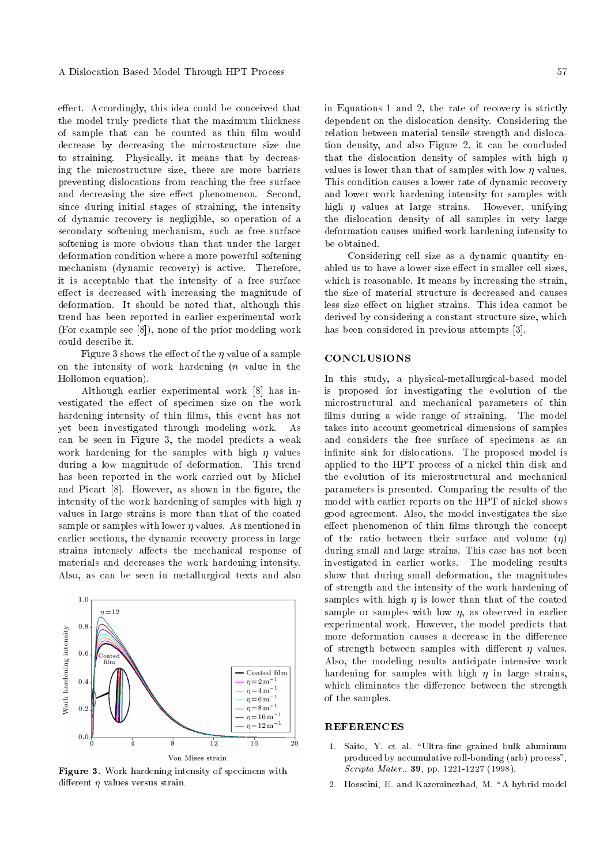effect. Accordingly, this idea could be conceived that the model truly predicts that the maximum thickness of sample that can be counted as thin film would decrease by decreasing the microstructure size due to straining. Physically, it means that by decreasing the microstructure size, there are more barriers preventing dislocations from reaching the free surface and decreasing the size effect phenomenon. Second, since during initial stages of straining, the intensity of dynamic recovery is negligible, so operation of a secondary softening mechanism, such as free surface softening is more obvious than that under the larger deformation condition where a more powerful softening mechanism (dynamic recovery) is active. Therefore, it is acceptable that the intensity of a free surface effect is decreased with increasing the magnitude of deformation. It should be noted that, although this trend has been reported in earlier experimental work (For example see [8]), none of the prior modeling work could describe it.

Figure 3 shows the effect of the  $\eta$  value of a sample on the intensity of work hardening  $(n$  value in the Hollomon equation).

Although earlier experimental work [8] has investigated the effect of specimen size on the work hardening intensity of thin films, this event has not yet been investigated through modeling work. As can be seen in Figure 3, the model predicts a weak work hardening for the samples with high  $\eta$  values during a low magnitude of deformation. This trend has been reported in the work carried out by Michel and Picart [8]. However, as shown in the figure, the intensity of the work hardening of samples with high  $n$ values in large strains is more than that of the coated sample or samples with lower  $\eta$  values. As mentioned in earlier sections, the dynamic recovery process in large strains intensely affects the mechanical response of materials and decreases the work hardening intensity. Also, as can be seen in metallurgical texts and also



Figure 3. Work hardening intensity of specimens with different  $\eta$  values versus strain.

in Equations 1 and 2, the rate of recovery is strictly dependent on the dislocation density. Considering the relation between material tensile strength and dislocation density, and also Figure 2, it can be concluded that the dislocation density of samples with high  $\eta$ values is lower than that of samples with low  $n$  values. This condition causes a lower rate of dynamic recovery and lower work hardening intensity for samples with high  $\eta$  values at large strains. However, unifying the dislocation density of all samples in very large deformation causes unied work hardening intensity to be obtained.

Considering cell size as a dynamic quantity enabled us to have a lower size effect in smaller cell sizes. which is reasonable. It means by increasing the strain, the size of material structure is decreased and causes less size effect on higher strains. This idea cannot be derived by considering a constant structure size, which has been considered in previous attempts [3].

# **CONCLUSIONS**

In this study, a physical-metallurgical-based model is proposed for investigating the evolution of the microstructural and mechanical parameters of thin films during a wide range of straining. The model takes into account geometrical dimensions of samples and considers the free surface of specimens as an infinite sink for dislocations. The proposed model is applied to the HPT process of a nickel thin disk and the evolution of its microstructural and mechanical parameters is presented. Comparing the results of the model with earlier reports on the HPT of nickel shows good agreement. Also, the model investigates the size effect phenomenon of thin films through the concept of the ratio between their surface and volume  $(\eta)$ during small and large strains. This case has not been investigated in earlier works. The modeling results show that during small deformation, the magnitudes of strength and the intensity of the work hardening of samples with high  $\eta$  is lower than that of the coated sample or samples with low  $\eta$ , as observed in earlier experimental work. However, the model predicts that more deformation causes a decrease in the difference of strength between samples with different  $\eta$  values. Also, the modeling results anticipate intensive work hardening for samples with high  $\eta$  in large strains, which eliminates the difference between the strength of the samples.

#### **REFERENCES**

- 1. Saito, Y. et al. "Ultra-fine grained bulk aluminum produced by accumulative roll-bonding (arb) process", Scripta Mater., 39, pp. 1221-1227 (1998).
- 2. Hosseini, E. and Kazeminezhad, M. "A hybrid model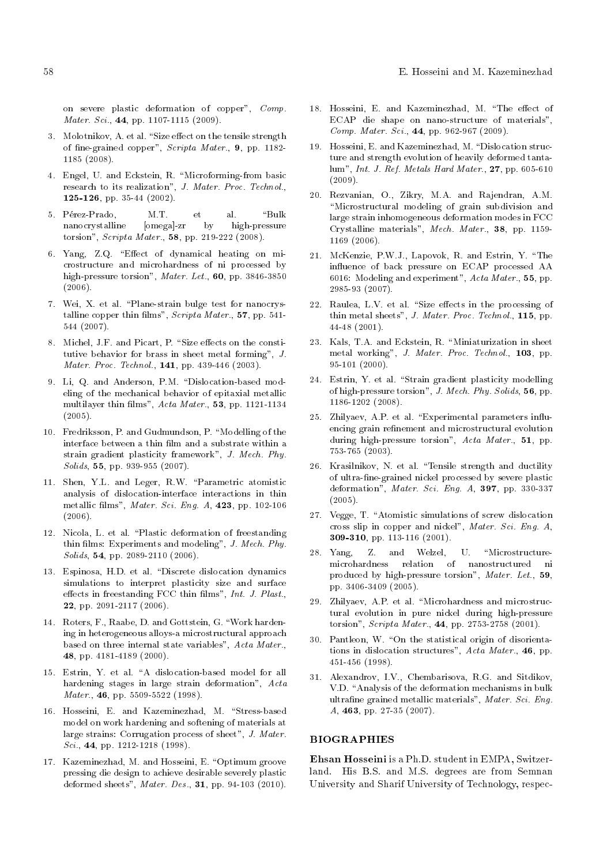on severe plastic deformation of copper", Comp. Mater. Sci., **44**, pp. 1107-1115 (2009).

- 3. Molotnikov, A. et al. "Size effect on the tensile strength of fine-grained copper", Scripta Mater., 9, pp. 1182-1185 (2008).
- 4. Engel, U. and Eckstein, R. \Microforming-from basic research to its realization", J. Mater. Proc. Technol., 125-126, pp. 35-44 (2002).
- 5. Pérez-Prado, M.T. et al. "Bulk nanocrystalline [omega]-zr by high-pressure torsion", Scripta Mater., 58, pp. 219-222 (2008).
- 6. Yang, Z.Q. "Effect of dynamical heating on microstructure and microhardness of ni processed by high-pressure torsion", Mater. Let., 60, pp. 3846-3850  $(2006)$ .
- 7. Wei, X. et al. \Plane-strain bulge test for nanocrystalline copper thin films", Scripta Mater., 57, pp. 541-544 (2007).
- 8. Michel, J.F. and Picart, P. "Size effects on the constitutive behavior for brass in sheet metal forming", J. Mater. Proc. Technol., 141, pp. 439-446 (2003).
- 9. Li, Q. and Anderson, P.M. "Dislocation-based modeling of the mechanical behavior of epitaxial metallic multilayer thin films", Acta Mater., 53, pp. 1121-1134  $(2005)$ .
- 10. Fredriksson, P. and Gudmundson, P. "Modelling of the interface between a thin film and a substrate within a strain gradient plasticity framework", J. Mech. Phy. Solids, 55, pp. 939-955 (2007).
- 11. Shen, Y.L. and Leger, R.W. \Parametric atomistic analysis of dislocation-interface interactions in thin metallic films", Mater. Sci. Eng. A, 423, pp. 102-106  $(2006)$ .
- 12. Nicola, L. et al. \Plastic deformation of freestanding thin films: Experiments and modeling", J. Mech. Phy. Solids, **54**, pp. 2089-2110 (2006).
- 13. Espinosa, H.D. et al. "Discrete dislocation dynamics simulations to interpret plasticity size and surface effects in freestanding FCC thin films",  $Int. J.$   $Plast.$ 22, pp. 2091-2117 (2006).
- 14. Roters, F., Raabe, D. and Gottstein, G. \Work hardening in heterogeneous alloys-a microstructural approach based on three internal state variables", Acta Mater., 48, pp. 4181-4189 (2000).
- 15. Estrin, Y. et al. "A dislocation-based model for all hardening stages in large strain deformation", Acta Mater., 46, pp. 5509-5522 (1998).
- 16. Hosseini, E. and Kazeminezhad, M. "Stress-based model on work hardening and softening of materials at large strains: Corrugation process of sheet", J. Mater. Sci., 44, pp. 1212-1218 (1998).
- 17. Kazeminezhad, M. and Hosseini, E. "Optimum groove pressing die design to achieve desirable severely plastic deformed sheets", Mater. Des., 31, pp. 94-103 (2010).
- 18. Hosseini, E. and Kazeminezhad, M. "The effect of ECAP die shape on nano-structure of materials", Comp. Mater. Sci., 44, pp. 962-967 (2009).
- 19. Hosseini, E. and Kazeminezhad, M. "Dislocation structure and strength evolution of heavily deformed tantalum", Int. J. Ref. Metals Hard Mater., 27, pp. 605-610 (2009).
- 20. Rezvanian, O., Zikry, M.A. and Rajendran, A.M. \Microstructural modeling of grain subdivision and large strain inhomogeneous deformation modes in FCC Crystalline materials", Mech. Mater., 38, pp. 1159- 1169 (2006).
- 21. McKenzie, P.W.J., Lapovok, R. and Estrin, Y. "The in
uence of back pressure on ECAP processed AA 6016: Modeling and experiment", Acta Mater., 55, pp. 2985-93 (2007).
- $22.$  Raulea, L.V. et al. "Size effects in the processing of thin metal sheets", J. Mater. Proc. Technol., 115, pp. 44-48 (2001).
- 23. Kals, T.A. and Eckstein, R. \Miniaturization in sheet metal working", J. Mater. Proc. Technol., 103, pp. 95-101 (2000).
- 24. Estrin, Y. et al. "Strain gradient plasticity modelling of high-pressure torsion", J. Mech. Phy. Solids, 56, pp. 1186-1202 (2008).
- 25. Zhilyaev, A.P. et al. "Experimental parameters influencing grain refinement and microstructural evolution during high-pressure torsion", Acta Mater., 51, pp. 753-765 (2003).
- 26. Krasilnikov, N. et al. \Tensile strength and ductility of ultra-fine-grained nickel processed by severe plastic deformation",  $Mater. Sci. Eng. A$ , 397, pp. 330-337 (2005).
- 27. Vegge, T. "Atomistic simulations of screw dislocation cross slip in copper and nickel", Mater. Sci. Eng. A, 309-310, pp. 113-116 (2001).
- 28. Yang, Z. and Welzel, U. \Microstructuremicrohardness relation of nanostructured ni produced by high-pressure torsion", Mater. Let., 59, pp. 3406-3409 (2005).
- 29. Zhilyaev, A.P. et al. \Microhardness and microstructural evolution in pure nickel during high-pressure torsion", Scripta Mater., 44, pp. 2753-2758 (2001).
- 30. Pantleon, W. "On the statistical origin of disorientations in dislocation structures", Acta Mater., 46, pp. 451-456 (1998).
- 31. Alexandrov, I.V., Chembarisova, R.G. and Sitdikov, V.D. "Analysis of the deformation mechanisms in bulk ultrafine grained metallic materials", Mater. Sci. Eng. A, 463, pp. 27-35 (2007).

#### **BIOGRAPHIES**

Ehsan Hosseini is a Ph.D. student in EMPA, Switzerland. His B.S. and M.S. degrees are from Semnan University and Sharif University of Technology, respec